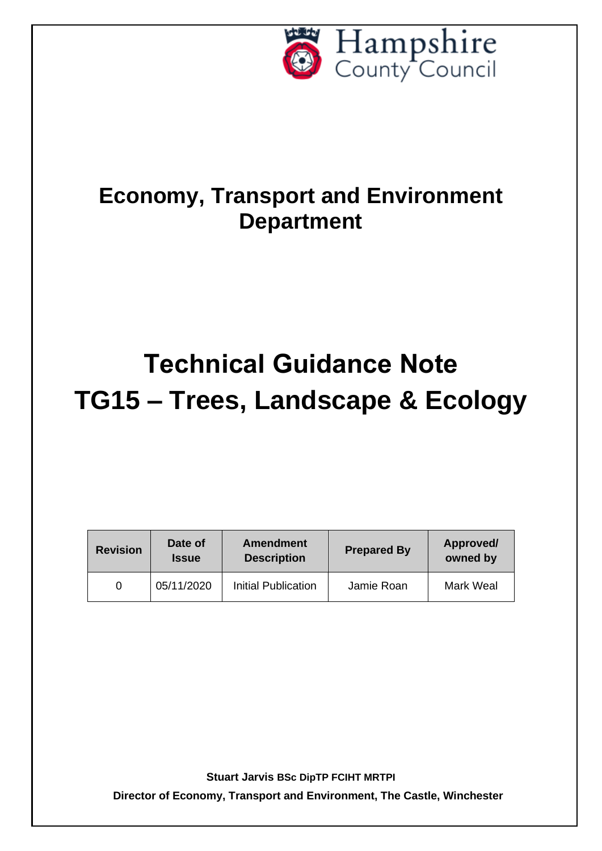

## **Economy, Transport and Environment Department**

# **Technical Guidance Note TG15 – Trees, Landscape & Ecology**

| <b>Revision</b> | Date of<br><b>Issue</b> | <b>Amendment</b><br><b>Description</b> | <b>Prepared By</b> | Approved/<br>owned by |
|-----------------|-------------------------|----------------------------------------|--------------------|-----------------------|
|                 | 05/11/2020              | Initial Publication                    | Jamie Roan         | Mark Weal             |

**Stuart Jarvis BSc DipTP FCIHT MRTPI**

**Director of Economy, Transport and Environment, The Castle, Winchester**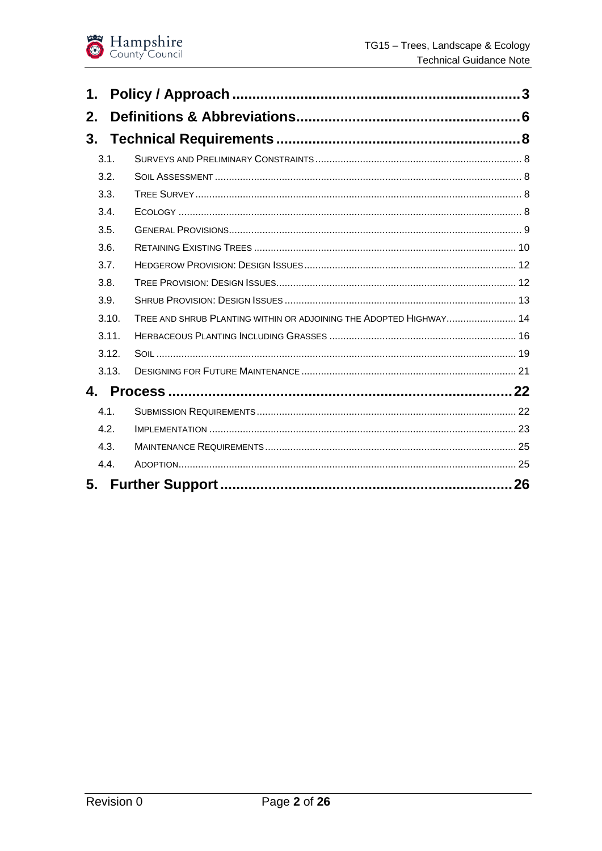

| 1.    |                                                                    |    |
|-------|--------------------------------------------------------------------|----|
| 2.    |                                                                    |    |
|       |                                                                    |    |
| 3.1.  |                                                                    |    |
| 3.2.  |                                                                    |    |
| 3.3.  |                                                                    |    |
| 3.4.  |                                                                    |    |
| 3.5.  |                                                                    |    |
| 3.6.  |                                                                    |    |
| 3.7.  |                                                                    |    |
| 3.8.  |                                                                    |    |
| 3.9.  |                                                                    |    |
| 3.10. | TREE AND SHRUB PLANTING WITHIN OR ADJOINING THE ADOPTED HIGHWAY 14 |    |
| 3.11. |                                                                    |    |
| 3.12. |                                                                    |    |
| 3.13. |                                                                    |    |
|       |                                                                    |    |
| 4.1.  |                                                                    |    |
| 4.2.  |                                                                    |    |
| 4.3.  |                                                                    |    |
| 4.4.  |                                                                    |    |
|       |                                                                    | 26 |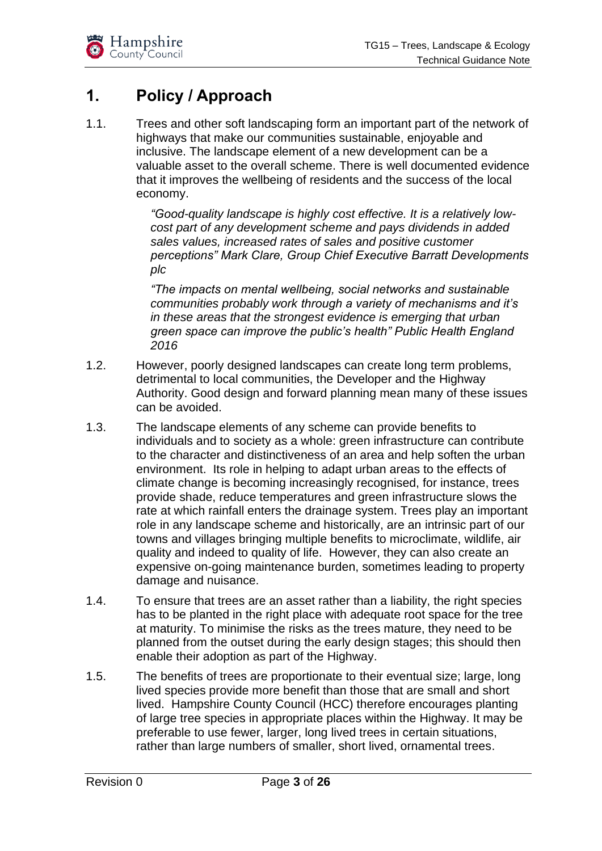

## <span id="page-2-0"></span>**1. Policy / Approach**

1.1. Trees and other soft landscaping form an important part of the network of highways that make our communities sustainable, enjoyable and inclusive. The landscape element of a new development can be a valuable asset to the overall scheme. There is well documented evidence that it improves the wellbeing of residents and the success of the local economy.

> *"Good-quality landscape is highly cost effective. It is a relatively lowcost part of any development scheme and pays dividends in added sales values, increased rates of sales and positive customer perceptions" Mark Clare, Group Chief Executive Barratt Developments plc*

*"The impacts on mental wellbeing, social networks and sustainable communities probably work through a variety of mechanisms and it's in these areas that the strongest evidence is emerging that urban green space can improve the public's health" Public Health England 2016*

- 1.2. However, poorly designed landscapes can create long term problems, detrimental to local communities, the Developer and the Highway Authority. Good design and forward planning mean many of these issues can be avoided.
- 1.3. The landscape elements of any scheme can provide benefits to individuals and to society as a whole: green infrastructure can contribute to the character and distinctiveness of an area and help soften the urban environment. Its role in helping to adapt urban areas to the effects of climate change is becoming increasingly recognised, for instance, trees provide shade, reduce temperatures and green infrastructure slows the rate at which rainfall enters the drainage system. Trees play an important role in any landscape scheme and historically, are an intrinsic part of our towns and villages bringing multiple benefits to microclimate, wildlife, air quality and indeed to quality of life. However, they can also create an expensive on-going maintenance burden, sometimes leading to property damage and nuisance.
- 1.4. To ensure that trees are an asset rather than a liability, the right species has to be planted in the right place with adequate root space for the tree at maturity. To minimise the risks as the trees mature, they need to be planned from the outset during the early design stages; this should then enable their adoption as part of the Highway.
- 1.5. The benefits of trees are proportionate to their eventual size; large, long lived species provide more benefit than those that are small and short lived. Hampshire County Council (HCC) therefore encourages planting of large tree species in appropriate places within the Highway. It may be preferable to use fewer, larger, long lived trees in certain situations, rather than large numbers of smaller, short lived, ornamental trees.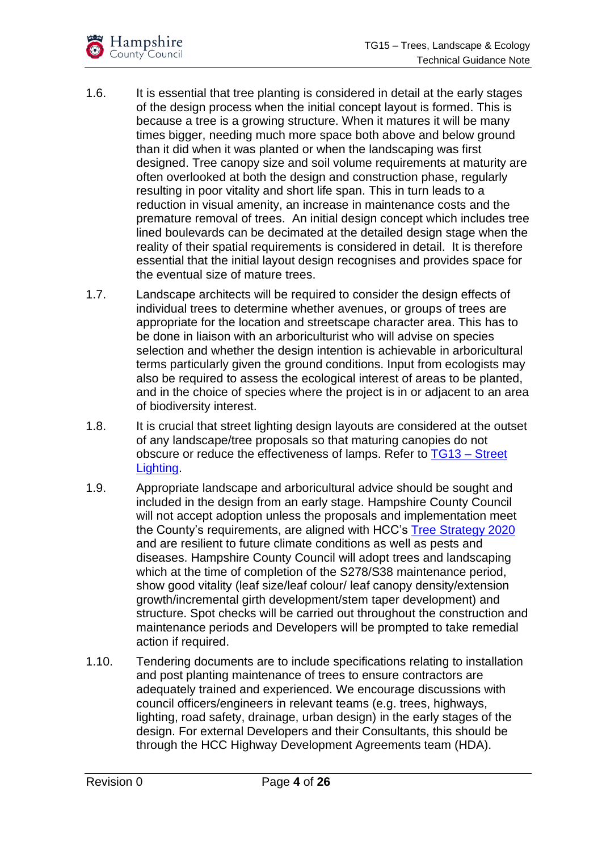

- 1.6. It is essential that tree planting is considered in detail at the early stages of the design process when the initial concept layout is formed. This is because a tree is a growing structure. When it matures it will be many times bigger, needing much more space both above and below ground than it did when it was planted or when the landscaping was first designed. Tree canopy size and soil volume requirements at maturity are often overlooked at both the design and construction phase, regularly resulting in poor vitality and short life span. This in turn leads to a reduction in visual amenity, an increase in maintenance costs and the premature removal of trees. An initial design concept which includes tree lined boulevards can be decimated at the detailed design stage when the reality of their spatial requirements is considered in detail. It is therefore essential that the initial layout design recognises and provides space for the eventual size of mature trees.
- 1.7. Landscape architects will be required to consider the design effects of individual trees to determine whether avenues, or groups of trees are appropriate for the location and streetscape character area. This has to be done in liaison with an arboriculturist who will advise on species selection and whether the design intention is achievable in arboricultural terms particularly given the ground conditions. Input from ecologists may also be required to assess the ecological interest of areas to be planted, and in the choice of species where the project is in or adjacent to an area of biodiversity interest.
- 1.8. It is crucial that street lighting design layouts are considered at the outset of any landscape/tree proposals so that maturing canopies do not obscure or reduce the effectiveness of lamps. Refer to [TG13 –](https://www.hants.gov.uk/transport/developers/constructionstandards/technicalguidancenotes) Street [Lighting.](https://www.hants.gov.uk/transport/developers/constructionstandards/technicalguidancenotes)
- 1.9. Appropriate landscape and arboricultural advice should be sought and included in the design from an early stage. Hampshire County Council will not accept adoption unless the proposals and implementation meet the County's requirements, are aligned with [HCC's Tree Strategy 2020](https://documents.hants.gov.uk/environment/tree-strategy.pdf) and are resilient to future climate conditions as well as pests and diseases. Hampshire County Council will adopt trees and landscaping which at the time of completion of the S278/S38 maintenance period, show good vitality (leaf size/leaf colour/ leaf canopy density/extension growth/incremental girth development/stem taper development) and structure. Spot checks will be carried out throughout the construction and maintenance periods and Developers will be prompted to take remedial action if required.
- 1.10. Tendering documents are to include specifications relating to installation and post planting maintenance of trees to ensure contractors are adequately trained and experienced. We encourage discussions with council officers/engineers in relevant teams (e.g. trees, highways, lighting, road safety, drainage, urban design) in the early stages of the design. For external Developers and their Consultants, this should be through the HCC Highway Development Agreements team (HDA).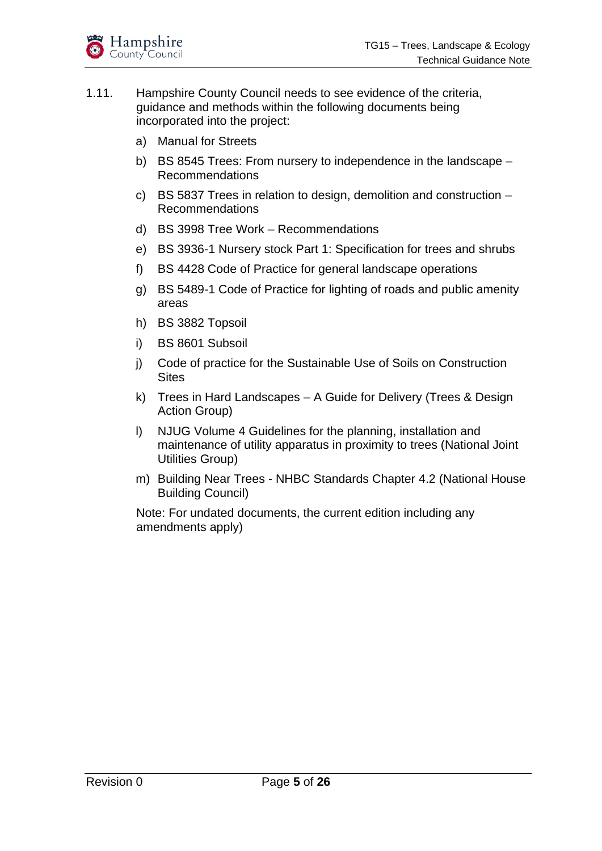

- 1.11. Hampshire County Council needs to see evidence of the criteria, guidance and methods within the following documents being incorporated into the project:
	- a) Manual for Streets
	- b) BS 8545 Trees: From nursery to independence in the landscape Recommendations
	- c) BS 5837 Trees in relation to design, demolition and construction Recommendations
	- d) BS 3998 Tree Work Recommendations
	- e) BS 3936-1 Nursery stock Part 1: Specification for trees and shrubs
	- f) BS 4428 Code of Practice for general landscape operations
	- g) BS 5489-1 Code of Practice for lighting of roads and public amenity areas
	- h) BS 3882 Topsoil
	- i) BS 8601 Subsoil
	- j) Code of practice for the Sustainable Use of Soils on Construction **Sites**
	- k) Trees in Hard Landscapes A Guide for Delivery (Trees & Design Action Group)
	- l) NJUG Volume 4 Guidelines for the planning, installation and maintenance of utility apparatus in proximity to trees (National Joint Utilities Group)
	- m) Building Near Trees NHBC Standards Chapter 4.2 (National House Building Council)

Note: For undated documents, the current edition including any amendments apply)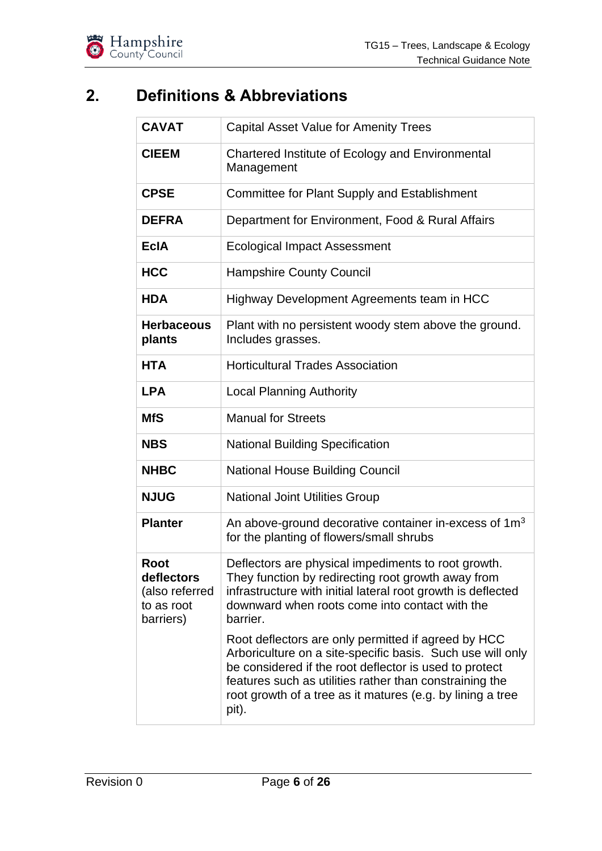

## <span id="page-5-0"></span>**2. Definitions & Abbreviations**

| <b>CAVAT</b>                                                    | <b>Capital Asset Value for Amenity Trees</b>                                                                                                                                                                                                                                                                                                                                                                                                                                                                                                             |
|-----------------------------------------------------------------|----------------------------------------------------------------------------------------------------------------------------------------------------------------------------------------------------------------------------------------------------------------------------------------------------------------------------------------------------------------------------------------------------------------------------------------------------------------------------------------------------------------------------------------------------------|
| <b>CIEEM</b>                                                    | Chartered Institute of Ecology and Environmental<br>Management                                                                                                                                                                                                                                                                                                                                                                                                                                                                                           |
| <b>CPSE</b>                                                     | Committee for Plant Supply and Establishment                                                                                                                                                                                                                                                                                                                                                                                                                                                                                                             |
| <b>DEFRA</b>                                                    | Department for Environment, Food & Rural Affairs                                                                                                                                                                                                                                                                                                                                                                                                                                                                                                         |
| <b>EcIA</b>                                                     | <b>Ecological Impact Assessment</b>                                                                                                                                                                                                                                                                                                                                                                                                                                                                                                                      |
| <b>HCC</b>                                                      | <b>Hampshire County Council</b>                                                                                                                                                                                                                                                                                                                                                                                                                                                                                                                          |
| <b>HDA</b>                                                      | Highway Development Agreements team in HCC                                                                                                                                                                                                                                                                                                                                                                                                                                                                                                               |
| <b>Herbaceous</b><br>plants                                     | Plant with no persistent woody stem above the ground.<br>Includes grasses.                                                                                                                                                                                                                                                                                                                                                                                                                                                                               |
| <b>HTA</b>                                                      | <b>Horticultural Trades Association</b>                                                                                                                                                                                                                                                                                                                                                                                                                                                                                                                  |
| <b>LPA</b>                                                      | <b>Local Planning Authority</b>                                                                                                                                                                                                                                                                                                                                                                                                                                                                                                                          |
| <b>MfS</b>                                                      | <b>Manual for Streets</b>                                                                                                                                                                                                                                                                                                                                                                                                                                                                                                                                |
| <b>NBS</b>                                                      | <b>National Building Specification</b>                                                                                                                                                                                                                                                                                                                                                                                                                                                                                                                   |
| <b>NHBC</b>                                                     | <b>National House Building Council</b>                                                                                                                                                                                                                                                                                                                                                                                                                                                                                                                   |
| <b>NJUG</b>                                                     | <b>National Joint Utilities Group</b>                                                                                                                                                                                                                                                                                                                                                                                                                                                                                                                    |
| <b>Planter</b>                                                  | An above-ground decorative container in-excess of $1m3$<br>for the planting of flowers/small shrubs                                                                                                                                                                                                                                                                                                                                                                                                                                                      |
| Root<br>deflectors<br>(also referred<br>to as root<br>barriers) | Deflectors are physical impediments to root growth.<br>They function by redirecting root growth away from<br>infrastructure with initial lateral root growth is deflected<br>downward when roots come into contact with the<br>barrier.<br>Root deflectors are only permitted if agreed by HCC<br>Arboriculture on a site-specific basis. Such use will only<br>be considered if the root deflector is used to protect<br>features such as utilities rather than constraining the<br>root growth of a tree as it matures (e.g. by lining a tree<br>pit). |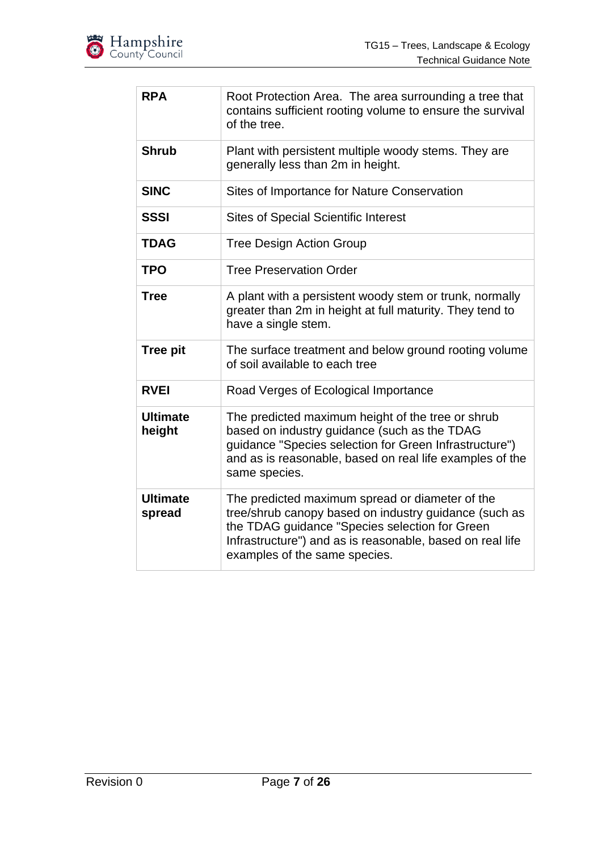

| <b>RPA</b>                | Root Protection Area. The area surrounding a tree that<br>contains sufficient rooting volume to ensure the survival<br>of the tree.                                                                                                                      |
|---------------------------|----------------------------------------------------------------------------------------------------------------------------------------------------------------------------------------------------------------------------------------------------------|
| <b>Shrub</b>              | Plant with persistent multiple woody stems. They are<br>generally less than 2m in height.                                                                                                                                                                |
| <b>SINC</b>               | Sites of Importance for Nature Conservation                                                                                                                                                                                                              |
| <b>SSSI</b>               | <b>Sites of Special Scientific Interest</b>                                                                                                                                                                                                              |
| <b>TDAG</b>               | <b>Tree Design Action Group</b>                                                                                                                                                                                                                          |
| <b>TPO</b>                | <b>Tree Preservation Order</b>                                                                                                                                                                                                                           |
| <b>Tree</b>               | A plant with a persistent woody stem or trunk, normally<br>greater than 2m in height at full maturity. They tend to<br>have a single stem.                                                                                                               |
| <b>Tree pit</b>           | The surface treatment and below ground rooting volume<br>of soil available to each tree                                                                                                                                                                  |
| <b>RVEI</b>               | Road Verges of Ecological Importance                                                                                                                                                                                                                     |
| <b>Ultimate</b><br>height | The predicted maximum height of the tree or shrub<br>based on industry guidance (such as the TDAG<br>guidance "Species selection for Green Infrastructure")<br>and as is reasonable, based on real life examples of the<br>same species.                 |
| <b>Ultimate</b><br>spread | The predicted maximum spread or diameter of the<br>tree/shrub canopy based on industry guidance (such as<br>the TDAG guidance "Species selection for Green<br>Infrastructure") and as is reasonable, based on real life<br>examples of the same species. |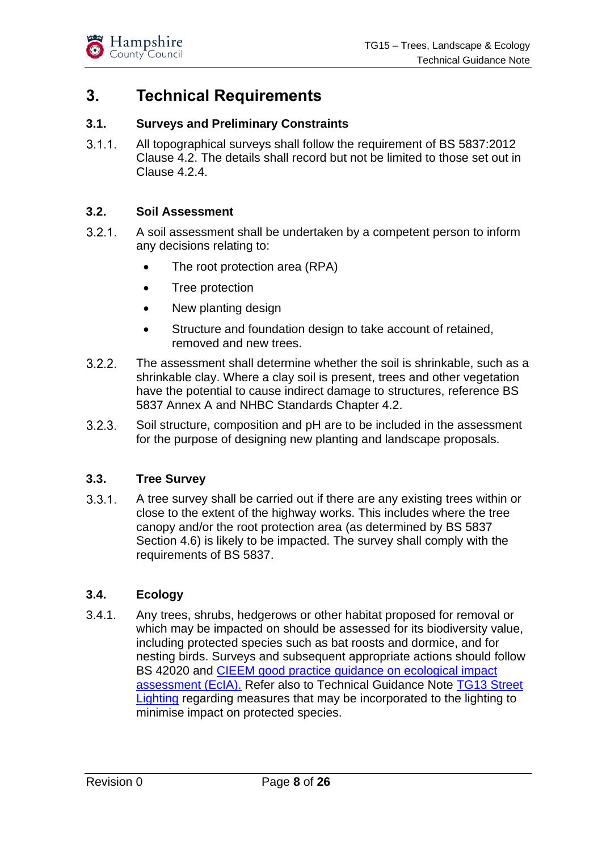

## <span id="page-7-0"></span>**3. Technical Requirements**

#### <span id="page-7-1"></span>**3.1. Surveys and Preliminary Constraints**

 $3.1.1$ All topographical surveys shall follow the requirement of BS 5837:2012 Clause 4.2. The details shall record but not be limited to those set out in Clause 4.2.4.

#### <span id="page-7-2"></span>**3.2. Soil Assessment**

- $3.2.1.$ A soil assessment shall be undertaken by a competent person to inform any decisions relating to:
	- The root protection area (RPA)
	- Tree protection
	- New planting design
	- Structure and foundation design to take account of retained, removed and new trees.
- $3.2.2.$ The assessment shall determine whether the soil is shrinkable, such as a shrinkable clay. Where a clay soil is present, trees and other vegetation have the potential to cause indirect damage to structures, reference BS 5837 Annex A and NHBC Standards Chapter 4.2.
- $3.2.3.$ Soil structure, composition and pH are to be included in the assessment for the purpose of designing new planting and landscape proposals.

#### <span id="page-7-3"></span>**3.3. Tree Survey**

 $3.3.1.$ A tree survey shall be carried out if there are any existing trees within or close to the extent of the highway works. This includes where the tree canopy and/or the root protection area (as determined by BS 5837 Section 4.6) is likely to be impacted. The survey shall comply with the requirements of BS 5837.

#### <span id="page-7-4"></span>**3.4. Ecology**

3.4.1. Any trees, shrubs, hedgerows or other habitat proposed for removal or which may be impacted on should be assessed for its biodiversity value, including protected species such as bat roosts and dormice, and for nesting birds. Surveys and subsequent appropriate actions should follow BS 42020 and CIEEM good practice [guidance on ecological impact](https://cieem.net/wp-content/uploads/2018/08/ECIA-Guidelines-2018-Terrestrial-Freshwater-Coastal-and-Marine-V1.1Update.pdf)  [assessment \(EcIA\).](https://cieem.net/wp-content/uploads/2018/08/ECIA-Guidelines-2018-Terrestrial-Freshwater-Coastal-and-Marine-V1.1Update.pdf) Refer also to Technical Guidance Note TG13 [Street](https://www.hants.gov.uk/transport/developers/technical-guidance)  [Lighting](https://www.hants.gov.uk/transport/developers/technical-guidance) regarding measures that may be incorporated to the lighting to minimise impact on protected species.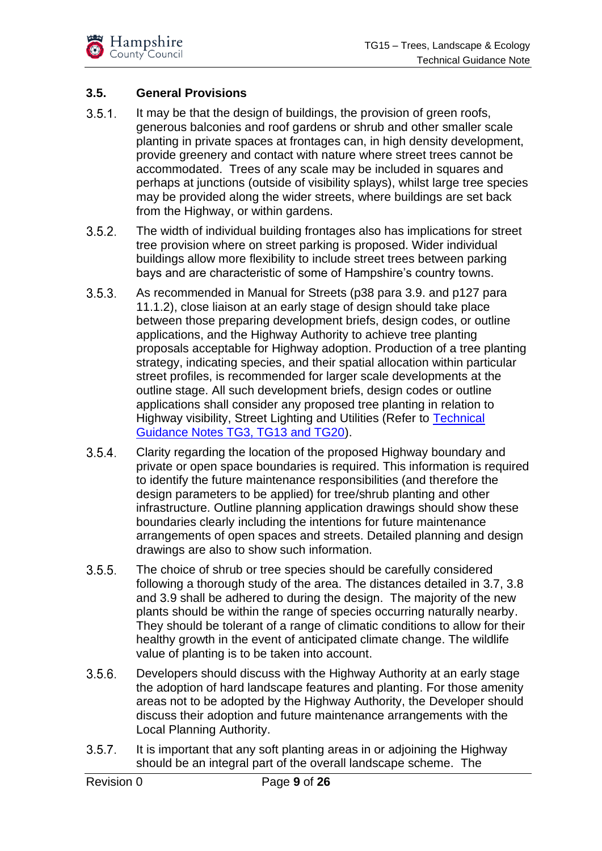

#### <span id="page-8-0"></span>**3.5. General Provisions**

- $3.5.1.$ It may be that the design of buildings, the provision of green roofs, generous balconies and roof gardens or shrub and other smaller scale planting in private spaces at frontages can, in high density development, provide greenery and contact with nature where street trees cannot be accommodated. Trees of any scale may be included in squares and perhaps at junctions (outside of visibility splays), whilst large tree species may be provided along the wider streets, where buildings are set back from the Highway, or within gardens.
- $3.5.2.$ The width of individual building frontages also has implications for street tree provision where on street parking is proposed. Wider individual buildings allow more flexibility to include street trees between parking bays and are characteristic of some of Hampshire's country towns.
- $3.5.3.$ As recommended in Manual for Streets (p38 para 3.9. and p127 para 11.1.2), close liaison at an early stage of design should take place between those preparing development briefs, design codes, or outline applications, and the Highway Authority to achieve tree planting proposals acceptable for Highway adoption. Production of a tree planting strategy, indicating species, and their spatial allocation within particular street profiles, is recommended for larger scale developments at the outline stage. All such development briefs, design codes or outline applications shall consider any proposed tree planting in relation to Highway visibility, Street Lighting and Utilities (Refer to [Technical](https://www.hants.gov.uk/transport/developers/constructionstandards/technicalguidancenotes)  [Guidance Notes TG3, TG13 and TG20\)](https://www.hants.gov.uk/transport/developers/constructionstandards/technicalguidancenotes).
- $3.5.4.$ Clarity regarding the location of the proposed Highway boundary and private or open space boundaries is required. This information is required to identify the future maintenance responsibilities (and therefore the design parameters to be applied) for tree/shrub planting and other infrastructure. Outline planning application drawings should show these boundaries clearly including the intentions for future maintenance arrangements of open spaces and streets. Detailed planning and design drawings are also to show such information.
- $3.5.5.$ The choice of shrub or tree species should be carefully considered following a thorough study of the area. The distances detailed in 3.7, 3.8 and 3.9 shall be adhered to during the design. The majority of the new plants should be within the range of species occurring naturally nearby. They should be tolerant of a range of climatic conditions to allow for their healthy growth in the event of anticipated climate change. The wildlife value of planting is to be taken into account.
- $3.5.6.$ Developers should discuss with the Highway Authority at an early stage the adoption of hard landscape features and planting. For those amenity areas not to be adopted by the Highway Authority, the Developer should discuss their adoption and future maintenance arrangements with the Local Planning Authority.
- $3.5.7.$ It is important that any soft planting areas in or adjoining the Highway should be an integral part of the overall landscape scheme. The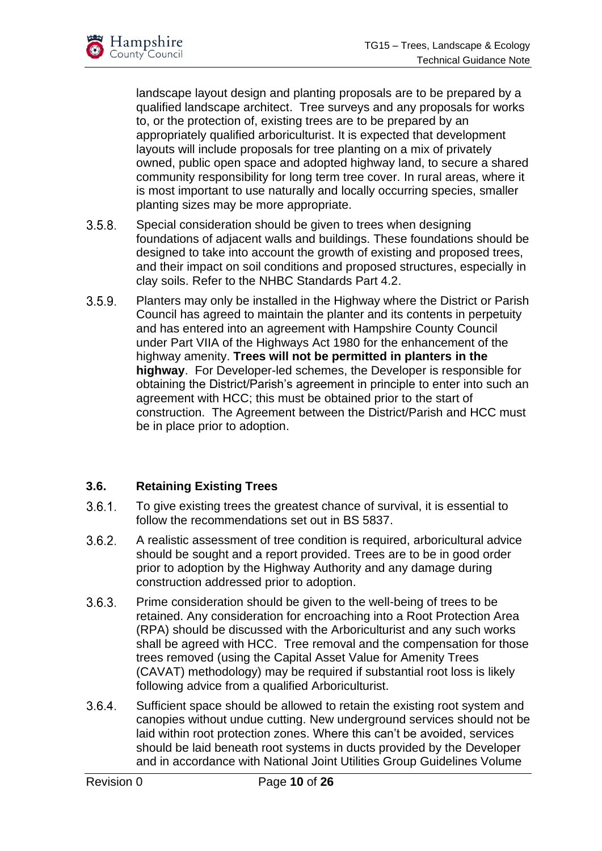

landscape layout design and planting proposals are to be prepared by a qualified landscape architect. Tree surveys and any proposals for works to, or the protection of, existing trees are to be prepared by an appropriately qualified arboriculturist. It is expected that development layouts will include proposals for tree planting on a mix of privately owned, public open space and adopted highway land, to secure a shared community responsibility for long term tree cover. In rural areas, where it is most important to use naturally and locally occurring species, smaller planting sizes may be more appropriate.

- $3.5.8.$ Special consideration should be given to trees when designing foundations of adjacent walls and buildings. These foundations should be designed to take into account the growth of existing and proposed trees, and their impact on soil conditions and proposed structures, especially in clay soils. Refer to the NHBC Standards Part 4.2.
- $3.5.9.$ Planters may only be installed in the Highway where the District or Parish Council has agreed to maintain the planter and its contents in perpetuity and has entered into an agreement with Hampshire County Council under Part VIIA of the Highways Act 1980 for the enhancement of the highway amenity. **Trees will not be permitted in planters in the highway**. For Developer-led schemes, the Developer is responsible for obtaining the District/Parish's agreement in principle to enter into such an agreement with HCC; this must be obtained prior to the start of construction. The Agreement between the District/Parish and HCC must be in place prior to adoption.

#### <span id="page-9-0"></span>**3.6. Retaining Existing Trees**

- To give existing trees the greatest chance of survival, it is essential to  $3.6.1.$ follow the recommendations set out in BS 5837.
- $3.6.2.$ A realistic assessment of tree condition is required, arboricultural advice should be sought and a report provided. Trees are to be in good order prior to adoption by the Highway Authority and any damage during construction addressed prior to adoption.
- $3.6.3.$ Prime consideration should be given to the well-being of trees to be retained. Any consideration for encroaching into a Root Protection Area (RPA) should be discussed with the Arboriculturist and any such works shall be agreed with HCC. Tree removal and the compensation for those trees removed (using the Capital Asset Value for Amenity Trees (CAVAT) methodology) may be required if substantial root loss is likely following advice from a qualified Arboriculturist.
- $3.6.4.$ Sufficient space should be allowed to retain the existing root system and canopies without undue cutting. New underground services should not be laid within root protection zones. Where this can't be avoided, services should be laid beneath root systems in ducts provided by the Developer and in accordance with National Joint Utilities Group Guidelines Volume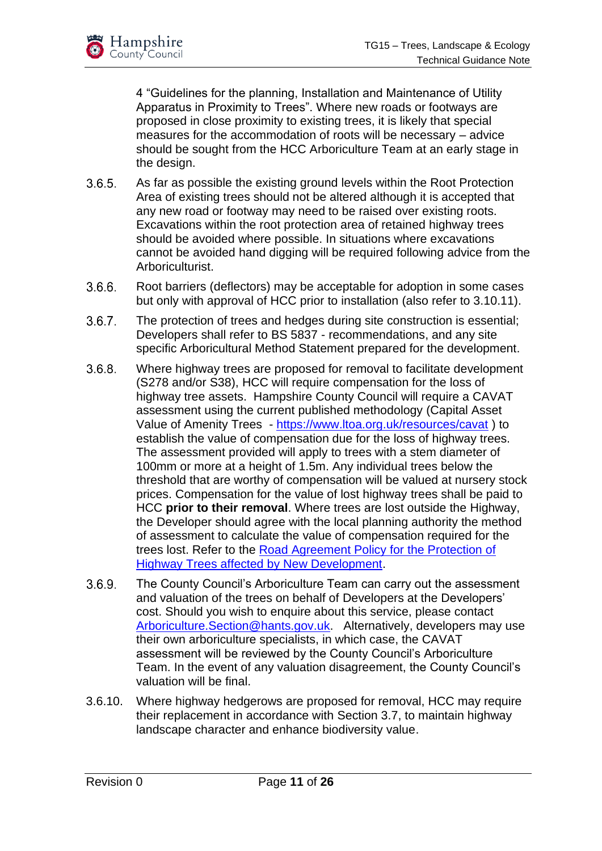

4 "Guidelines for the planning, Installation and Maintenance of Utility Apparatus in Proximity to Trees". Where new roads or footways are proposed in close proximity to existing trees, it is likely that special measures for the accommodation of roots will be necessary – advice should be sought from the HCC Arboriculture Team at an early stage in the design.

- $3.6.5.$ As far as possible the existing ground levels within the Root Protection Area of existing trees should not be altered although it is accepted that any new road or footway may need to be raised over existing roots. Excavations within the root protection area of retained highway trees should be avoided where possible. In situations where excavations cannot be avoided hand digging will be required following advice from the Arboriculturist.
- $3.6.6.$ Root barriers (deflectors) may be acceptable for adoption in some cases but only with approval of HCC prior to installation (also refer to 3.10.11).
- $3.6.7.$ The protection of trees and hedges during site construction is essential; Developers shall refer to BS 5837 - recommendations, and any site specific Arboricultural Method Statement prepared for the development.
- $3.6.8.$ Where highway trees are proposed for removal to facilitate development (S278 and/or S38), HCC will require compensation for the loss of highway tree assets. Hampshire County Council will require a CAVAT assessment using the current published methodology (Capital Asset Value of Amenity Trees - <https://www.ltoa.org.uk/resources/cavat>) to establish the value of compensation due for the loss of highway trees. The assessment provided will apply to trees with a stem diameter of 100mm or more at a height of 1.5m. Any individual trees below the threshold that are worthy of compensation will be valued at nursery stock prices. Compensation for the value of lost highway trees shall be paid to HCC **prior to their removal**. Where trees are lost outside the Highway, the Developer should agree with the local planning authority the method of assessment to calculate the value of compensation required for the trees lost. Refer to the [Road Agreement Policy for the Protection of](http://documents.hants.gov.uk/transport/HighwaysTreePolicy.pdf)  [Highway Trees affected by New Development.](http://documents.hants.gov.uk/transport/HighwaysTreePolicy.pdf)
- $3.6.9.$ The County Council's Arboriculture Team can carry out the assessment and valuation of the trees on behalf of Developers at the Developers' cost. Should you wish to enquire about this service, please contact [Arboriculture.Section@hants.gov.uk.](mailto:Arboriculture.Section@hants.gov.uk) Alternatively, developers may use their own arboriculture specialists, in which case, the CAVAT assessment will be reviewed by the County Council's Arboriculture Team. In the event of any valuation disagreement, the County Council's valuation will be final.
- 3.6.10. Where highway hedgerows are proposed for removal, HCC may require their replacement in accordance with Section 3.7, to maintain highway landscape character and enhance biodiversity value.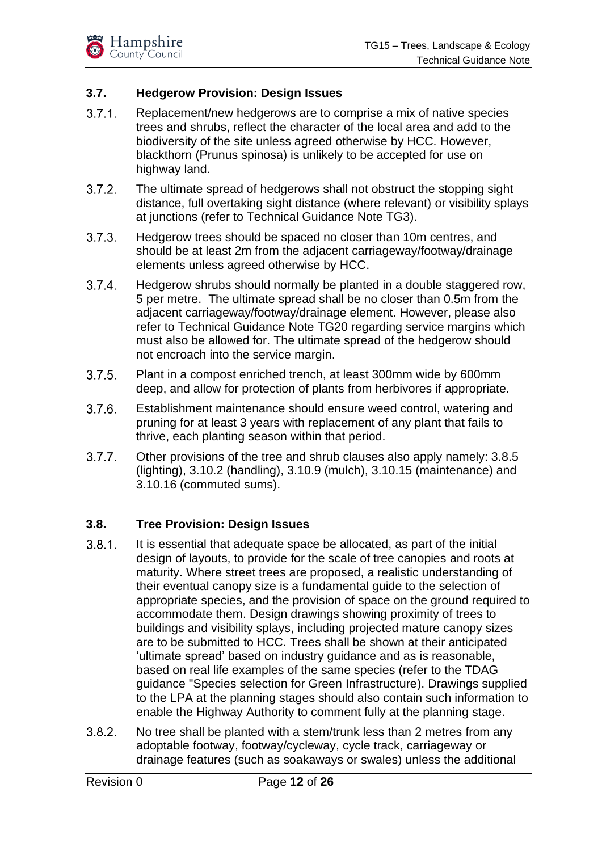

#### <span id="page-11-0"></span>**3.7. Hedgerow Provision: Design Issues**

- $3.7.1.$ Replacement/new hedgerows are to comprise a mix of native species trees and shrubs, reflect the character of the local area and add to the biodiversity of the site unless agreed otherwise by HCC. However, blackthorn (Prunus spinosa) is unlikely to be accepted for use on highway land.
- $3.7.2.$ The ultimate spread of hedgerows shall not obstruct the stopping sight distance, full overtaking sight distance (where relevant) or visibility splays at junctions (refer to Technical Guidance Note TG3).
- $3.7.3.$ Hedgerow trees should be spaced no closer than 10m centres, and should be at least 2m from the adjacent carriageway/footway/drainage elements unless agreed otherwise by HCC.
- $3.7.4.$ Hedgerow shrubs should normally be planted in a double staggered row. 5 per metre. The ultimate spread shall be no closer than 0.5m from the adjacent carriageway/footway/drainage element. However, please also refer to Technical Guidance Note TG20 regarding service margins which must also be allowed for. The ultimate spread of the hedgerow should not encroach into the service margin.
- $3.7.5.$ Plant in a compost enriched trench, at least 300mm wide by 600mm deep, and allow for protection of plants from herbivores if appropriate.
- $3.7.6.$ Establishment maintenance should ensure weed control, watering and pruning for at least 3 years with replacement of any plant that fails to thrive, each planting season within that period.
- $3.7.7.$ Other provisions of the tree and shrub clauses also apply namely: 3.8.5 (lighting), 3.10.2 (handling), 3.10.9 (mulch), 3.10.15 (maintenance) and 3.10.16 (commuted sums).

#### <span id="page-11-1"></span>**3.8. Tree Provision: Design Issues**

- $3.8.1.$ It is essential that adequate space be allocated, as part of the initial design of layouts, to provide for the scale of tree canopies and roots at maturity. Where street trees are proposed, a realistic understanding of their eventual canopy size is a fundamental guide to the selection of appropriate species, and the provision of space on the ground required to accommodate them. Design drawings showing proximity of trees to buildings and visibility splays, including projected mature canopy sizes are to be submitted to HCC. Trees shall be shown at their anticipated 'ultimate spread' based on industry guidance and as is reasonable, based on real life examples of the same species (refer to the TDAG guidance "Species selection for Green Infrastructure). Drawings supplied to the LPA at the planning stages should also contain such information to enable the Highway Authority to comment fully at the planning stage.
- <span id="page-11-2"></span> $3.8.2.$ No tree shall be planted with a stem/trunk less than 2 metres from any adoptable footway, footway/cycleway, cycle track, carriageway or drainage features (such as soakaways or swales) unless the additional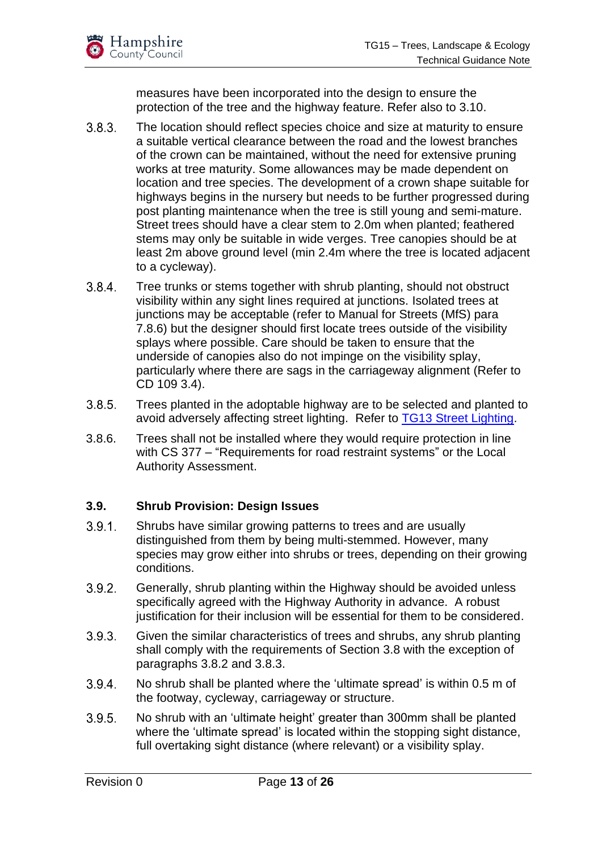

measures have been incorporated into the design to ensure the protection of the tree and the highway feature. Refer also to 3.10.

- $3.8.3.$ The location should reflect species choice and size at maturity to ensure a suitable vertical clearance between the road and the lowest branches of the crown can be maintained, without the need for extensive pruning works at tree maturity. Some allowances may be made dependent on location and tree species. The development of a crown shape suitable for highways begins in the nursery but needs to be further progressed during post planting maintenance when the tree is still young and semi-mature. Street trees should have a clear stem to 2.0m when planted; feathered stems may only be suitable in wide verges. Tree canopies should be at least 2m above ground level (min 2.4m where the tree is located adjacent to a cycleway).
- $3.8.4.$ Tree trunks or stems together with shrub planting, should not obstruct visibility within any sight lines required at junctions. Isolated trees at junctions may be acceptable (refer to Manual for Streets (MfS) para 7.8.6) but the designer should first locate trees outside of the visibility splays where possible. Care should be taken to ensure that the underside of canopies also do not impinge on the visibility splay, particularly where there are sags in the carriageway alignment (Refer to CD 109 3.4).
- $3.8.5.$ Trees planted in the adoptable highway are to be selected and planted to avoid adversely affecting street lighting. Refer to [TG13 Street Lighting.](https://www.hants.gov.uk/transport/developers/constructionstandards/technicalguidancenotes)
- 3.8.6. Trees shall not be installed where they would require protection in line with CS 377 – "Requirements for road restraint systems" or the Local Authority Assessment.

#### <span id="page-12-0"></span>**3.9. Shrub Provision: Design Issues**

- $3.9.1$ Shrubs have similar growing patterns to trees and are usually distinguished from them by being multi-stemmed. However, many species may grow either into shrubs or trees, depending on their growing conditions.
- $3.9.2.$ Generally, shrub planting within the Highway should be avoided unless specifically agreed with the Highway Authority in advance. A robust justification for their inclusion will be essential for them to be considered.
- $3.9.3.$ Given the similar characteristics of trees and shrubs, any shrub planting shall comply with the requirements of Section 3.8 with the exception of paragraphs [3.8.2](#page-11-2) and 3.8.3.
- $3.9.4.$ No shrub shall be planted where the 'ultimate spread' is within 0.5 m of the footway, cycleway, carriageway or structure.
- $3.9.5.$ No shrub with an 'ultimate height' greater than 300mm shall be planted where the 'ultimate spread' is located within the stopping sight distance, full overtaking sight distance (where relevant) or a visibility splay.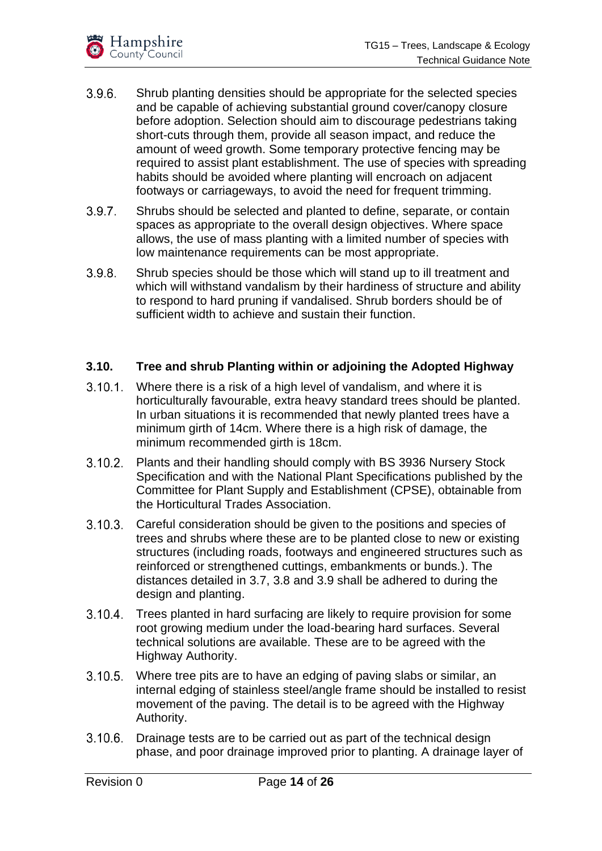- $3.9.6.$ Shrub planting densities should be appropriate for the selected species and be capable of achieving substantial ground cover/canopy closure before adoption. Selection should aim to discourage pedestrians taking short-cuts through them, provide all season impact, and reduce the amount of weed growth. Some temporary protective fencing may be required to assist plant establishment. The use of species with spreading habits should be avoided where planting will encroach on adjacent footways or carriageways, to avoid the need for frequent trimming.
- $3.9.7.$ Shrubs should be selected and planted to define, separate, or contain spaces as appropriate to the overall design objectives. Where space allows, the use of mass planting with a limited number of species with low maintenance requirements can be most appropriate.
- $3.9.8.$ Shrub species should be those which will stand up to ill treatment and which will withstand vandalism by their hardiness of structure and ability to respond to hard pruning if vandalised. Shrub borders should be of sufficient width to achieve and sustain their function.

#### <span id="page-13-0"></span>**3.10. Tree and shrub Planting within or adjoining the Adopted Highway**

- Where there is a risk of a high level of vandalism, and where it is  $3.10.1.$ horticulturally favourable, extra heavy standard trees should be planted. In urban situations it is recommended that newly planted trees have a minimum girth of 14cm. Where there is a high risk of damage, the minimum recommended girth is 18cm.
- Plants and their handling should comply with BS 3936 Nursery Stock  $3.10.2.$ Specification and with the National Plant Specifications published by the Committee for Plant Supply and Establishment (CPSE), obtainable from the Horticultural Trades Association.
- $3.10.3.$ Careful consideration should be given to the positions and species of trees and shrubs where these are to be planted close to new or existing structures (including roads, footways and engineered structures such as reinforced or strengthened cuttings, embankments or bunds.). The distances detailed in 3.7, 3.8 and 3.9 shall be adhered to during the design and planting.
- Trees planted in hard surfacing are likely to require provision for some  $3.10.4$ root growing medium under the load-bearing hard surfaces. Several technical solutions are available. These are to be agreed with the Highway Authority.
- $3.10.5.$ Where tree pits are to have an edging of paving slabs or similar, an internal edging of stainless steel/angle frame should be installed to resist movement of the paving. The detail is to be agreed with the Highway Authority.
- $3.10.6.$ Drainage tests are to be carried out as part of the technical design phase, and poor drainage improved prior to planting. A drainage layer of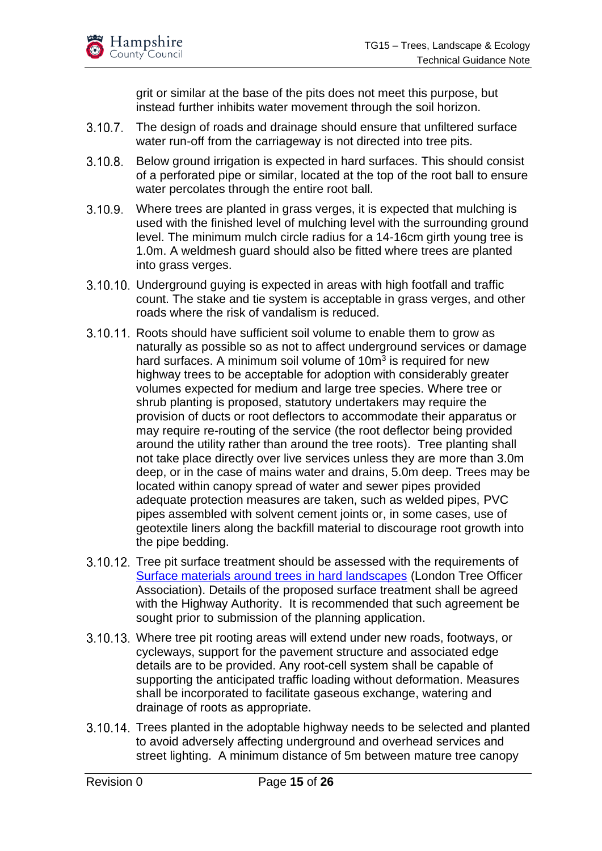grit or similar at the base of the pits does not meet this purpose, but instead further inhibits water movement through the soil horizon.

- 3.10.7. The design of roads and drainage should ensure that unfiltered surface water run-off from the carriageway is not directed into tree pits.
- $3.10.8$ Below ground irrigation is expected in hard surfaces. This should consist of a perforated pipe or similar, located at the top of the root ball to ensure water percolates through the entire root ball.
- $3.10.9.$ Where trees are planted in grass verges, it is expected that mulching is used with the finished level of mulching level with the surrounding ground level. The minimum mulch circle radius for a 14-16cm girth young tree is 1.0m. A weldmesh guard should also be fitted where trees are planted into grass verges.
- 3.10.10. Underground guying is expected in areas with high footfall and traffic count. The stake and tie system is acceptable in grass verges, and other roads where the risk of vandalism is reduced.
- 3.10.11. Roots should have sufficient soil volume to enable them to grow as naturally as possible so as not to affect underground services or damage hard surfaces. A minimum soil volume of 10m<sup>3</sup> is required for new highway trees to be acceptable for adoption with considerably greater volumes expected for medium and large tree species. Where tree or shrub planting is proposed, statutory undertakers may require the provision of ducts or root deflectors to accommodate their apparatus or may require re-routing of the service (the root deflector being provided around the utility rather than around the tree roots). Tree planting shall not take place directly over live services unless they are more than 3.0m deep, or in the case of mains water and drains, 5.0m deep. Trees may be located within canopy spread of water and sewer pipes provided adequate protection measures are taken, such as welded pipes, PVC pipes assembled with solvent cement joints or, in some cases, use of geotextile liners along the backfill material to discourage root growth into the pipe bedding.
- 3.10.12. Tree pit surface treatment should be assessed with the requirements of [Surface materials around trees in hard landscapes](https://www.ltoa.org.uk/surface-materials-around-trees-document) (London Tree Officer Association). Details of the proposed surface treatment shall be agreed with the Highway Authority. It is recommended that such agreement be sought prior to submission of the planning application.
- 3.10.13. Where tree pit rooting areas will extend under new roads, footways, or cycleways, support for the pavement structure and associated edge details are to be provided. Any root-cell system shall be capable of supporting the anticipated traffic loading without deformation. Measures shall be incorporated to facilitate gaseous exchange, watering and drainage of roots as appropriate.
- 3.10.14. Trees planted in the adoptable highway needs to be selected and planted to avoid adversely affecting underground and overhead services and street lighting. A minimum distance of 5m between mature tree canopy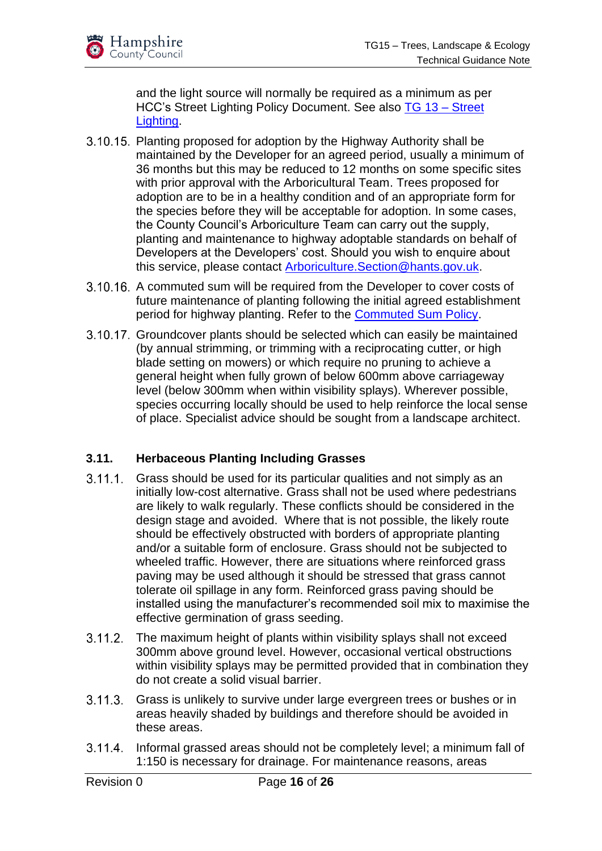and the light source will normally be required as a minimum as per HCC's Street Lighting Policy Document. See also [TG 13 –](https://www.hants.gov.uk/transport/developers/constructionstandards/technicalguidancenotes) Street [Lighting.](https://www.hants.gov.uk/transport/developers/constructionstandards/technicalguidancenotes)

- 3.10.15. Planting proposed for adoption by the Highway Authority shall be maintained by the Developer for an agreed period, usually a minimum of 36 months but this may be reduced to 12 months on some specific sites with prior approval with the Arboricultural Team. Trees proposed for adoption are to be in a healthy condition and of an appropriate form for the species before they will be acceptable for adoption. In some cases, the County Council's Arboriculture Team can carry out the supply, planting and maintenance to highway adoptable standards on behalf of Developers at the Developers' cost. Should you wish to enquire about this service, please contact [Arboriculture.Section@hants.gov.uk.](mailto:Arboriculture.Section@hants.gov.uk)
- 3.10.16. A commuted sum will be required from the Developer to cover costs of future maintenance of planting following the initial agreed establishment period for highway planting. Refer to the [Commuted Sum Policy.](https://www.hants.gov.uk/transport/developers/commuted-sums)
- 3.10.17. Groundcover plants should be selected which can easily be maintained (by annual strimming, or trimming with a reciprocating cutter, or high blade setting on mowers) or which require no pruning to achieve a general height when fully grown of below 600mm above carriageway level (below 300mm when within visibility splays). Wherever possible, species occurring locally should be used to help reinforce the local sense of place. Specialist advice should be sought from a landscape architect.

#### <span id="page-15-0"></span>**3.11. Herbaceous Planting Including Grasses**

- $3.11.1.$ Grass should be used for its particular qualities and not simply as an initially low-cost alternative. Grass shall not be used where pedestrians are likely to walk regularly. These conflicts should be considered in the design stage and avoided. Where that is not possible, the likely route should be effectively obstructed with borders of appropriate planting and/or a suitable form of enclosure. Grass should not be subjected to wheeled traffic. However, there are situations where reinforced grass paving may be used although it should be stressed that grass cannot tolerate oil spillage in any form. Reinforced grass paving should be installed using the manufacturer's recommended soil mix to maximise the effective germination of grass seeding.
- $3.11.2.$ The maximum height of plants within visibility splays shall not exceed 300mm above ground level. However, occasional vertical obstructions within visibility splays may be permitted provided that in combination they do not create a solid visual barrier.
- $3.11.3.$ Grass is unlikely to survive under large evergreen trees or bushes or in areas heavily shaded by buildings and therefore should be avoided in these areas.
- $3.11.4$ Informal grassed areas should not be completely level; a minimum fall of 1:150 is necessary for drainage. For maintenance reasons, areas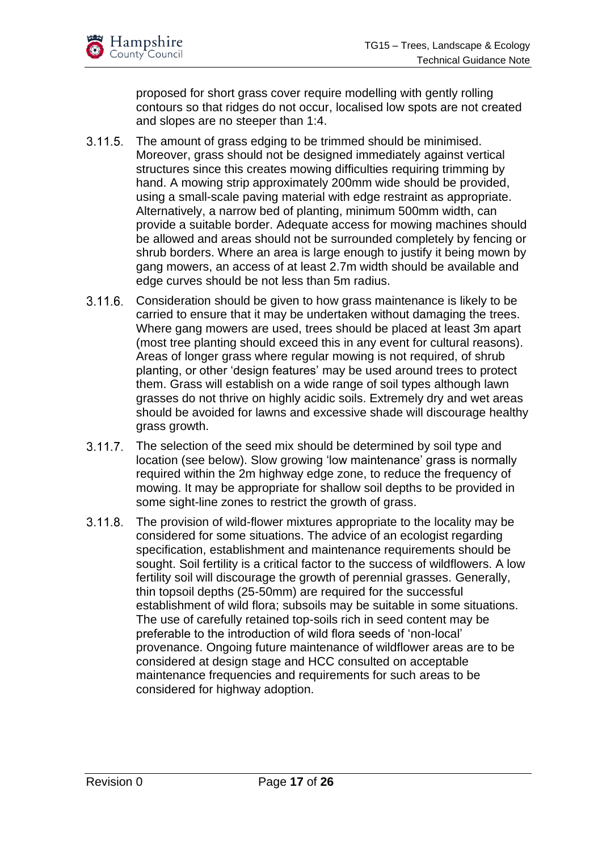proposed for short grass cover require modelling with gently rolling contours so that ridges do not occur, localised low spots are not created and slopes are no steeper than 1:4.

- $3.11.5.$ The amount of grass edging to be trimmed should be minimised. Moreover, grass should not be designed immediately against vertical structures since this creates mowing difficulties requiring trimming by hand. A mowing strip approximately 200mm wide should be provided, using a small-scale paving material with edge restraint as appropriate. Alternatively, a narrow bed of planting, minimum 500mm width, can provide a suitable border. Adequate access for mowing machines should be allowed and areas should not be surrounded completely by fencing or shrub borders. Where an area is large enough to justify it being mown by gang mowers, an access of at least 2.7m width should be available and edge curves should be not less than 5m radius.
- 3.11.6. Consideration should be given to how grass maintenance is likely to be carried to ensure that it may be undertaken without damaging the trees. Where gang mowers are used, trees should be placed at least 3m apart (most tree planting should exceed this in any event for cultural reasons). Areas of longer grass where regular mowing is not required, of shrub planting, or other 'design features' may be used around trees to protect them. Grass will establish on a wide range of soil types although lawn grasses do not thrive on highly acidic soils. Extremely dry and wet areas should be avoided for lawns and excessive shade will discourage healthy grass growth.
- $3.11.7.$ The selection of the seed mix should be determined by soil type and location (see below). Slow growing 'low maintenance' grass is normally required within the 2m highway edge zone, to reduce the frequency of mowing. It may be appropriate for shallow soil depths to be provided in some sight-line zones to restrict the growth of grass.
- $3.11.8.$ The provision of wild-flower mixtures appropriate to the locality may be considered for some situations. The advice of an ecologist regarding specification, establishment and maintenance requirements should be sought. Soil fertility is a critical factor to the success of wildflowers. A low fertility soil will discourage the growth of perennial grasses. Generally, thin topsoil depths (25-50mm) are required for the successful establishment of wild flora; subsoils may be suitable in some situations. The use of carefully retained top-soils rich in seed content may be preferable to the introduction of wild flora seeds of 'non-local' provenance. Ongoing future maintenance of wildflower areas are to be considered at design stage and HCC consulted on acceptable maintenance frequencies and requirements for such areas to be considered for highway adoption.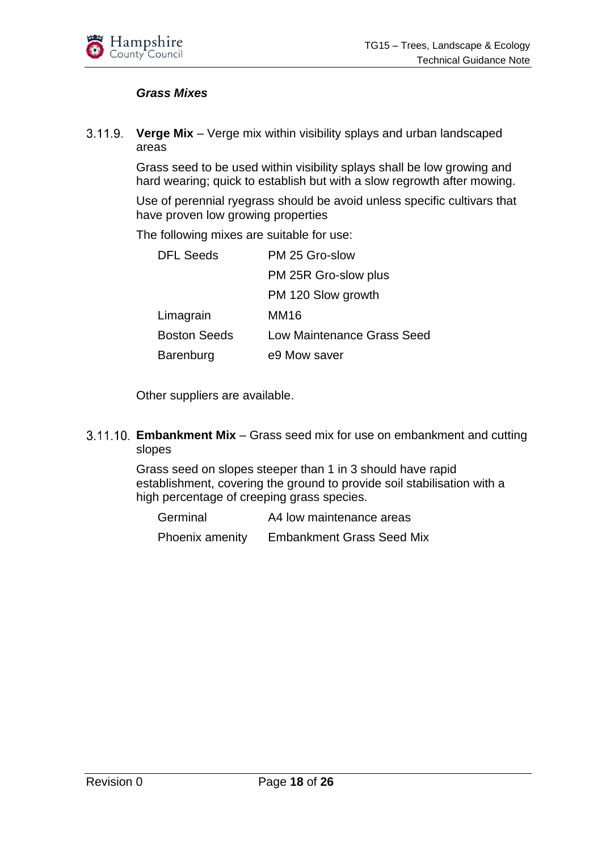

#### *Grass Mixes*

 $3.11.9.$ **Verge Mix** – Verge mix within visibility splays and urban landscaped areas

> Grass seed to be used within visibility splays shall be low growing and hard wearing; quick to establish but with a slow regrowth after mowing.

> Use of perennial ryegrass should be avoid unless specific cultivars that have proven low growing properties

The following mixes are suitable for use:

| <b>DFL Seeds</b>    | PM 25 Gro-slow                    |
|---------------------|-----------------------------------|
|                     | PM 25R Gro-slow plus              |
|                     | PM 120 Slow growth                |
| Limagrain           | MM16                              |
| <b>Boston Seeds</b> | <b>Low Maintenance Grass Seed</b> |
| Barenburg           | e9 Mow saver                      |

Other suppliers are available.

#### **Embankment Mix** – Grass seed mix for use on embankment and cutting slopes

Grass seed on slopes steeper than 1 in 3 should have rapid establishment, covering the ground to provide soil stabilisation with a high percentage of creeping grass species.

| Germinal        | A4 low maintenance areas         |
|-----------------|----------------------------------|
| Phoenix amenity | <b>Embankment Grass Seed Mix</b> |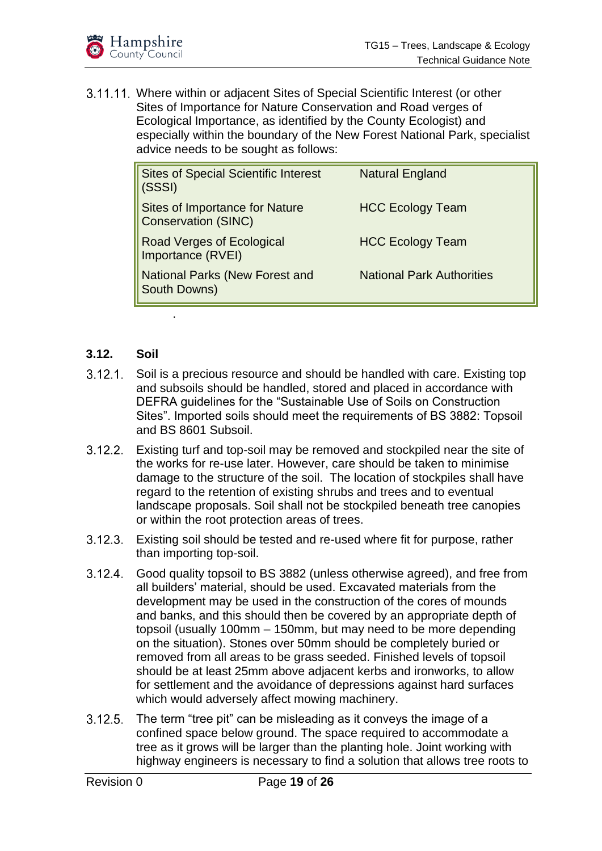

3.11.11. Where within or adjacent Sites of Special Scientific Interest (or other Sites of Importance for Nature Conservation and Road verges of Ecological Importance, as identified by the County Ecologist) and especially within the boundary of the New Forest National Park, specialist advice needs to be sought as follows:

| <b>Sites of Special Scientific Interest</b><br>(SSSI)        | <b>Natural England</b>           |
|--------------------------------------------------------------|----------------------------------|
| Sites of Importance for Nature<br><b>Conservation (SINC)</b> | <b>HCC Ecology Team</b>          |
| Road Verges of Ecological<br>Importance (RVEI)               | <b>HCC Ecology Team</b>          |
| <b>National Parks (New Forest and</b><br><b>South Downs)</b> | <b>National Park Authorities</b> |

#### <span id="page-18-0"></span>**3.12. Soil**

.

- $3.12.1$ Soil is a precious resource and should be handled with care. Existing top and subsoils should be handled, stored and placed in accordance with DEFRA guidelines for the "Sustainable Use of Soils on Construction Sites". Imported soils should meet the requirements of BS 3882: Topsoil and BS 8601 Subsoil.
- $3.12.2.$ Existing turf and top-soil may be removed and stockpiled near the site of the works for re-use later. However, care should be taken to minimise damage to the structure of the soil. The location of stockpiles shall have regard to the retention of existing shrubs and trees and to eventual landscape proposals. Soil shall not be stockpiled beneath tree canopies or within the root protection areas of trees.
- Existing soil should be tested and re-used where fit for purpose, rather than importing top-soil.
- $3.12.4.$ Good quality topsoil to BS 3882 (unless otherwise agreed), and free from all builders' material, should be used. Excavated materials from the development may be used in the construction of the cores of mounds and banks, and this should then be covered by an appropriate depth of topsoil (usually 100mm – 150mm, but may need to be more depending on the situation). Stones over 50mm should be completely buried or removed from all areas to be grass seeded. Finished levels of topsoil should be at least 25mm above adjacent kerbs and ironworks, to allow for settlement and the avoidance of depressions against hard surfaces which would adversely affect mowing machinery.
- $3.12.5.$ The term "tree pit" can be misleading as it conveys the image of a confined space below ground. The space required to accommodate a tree as it grows will be larger than the planting hole. Joint working with highway engineers is necessary to find a solution that allows tree roots to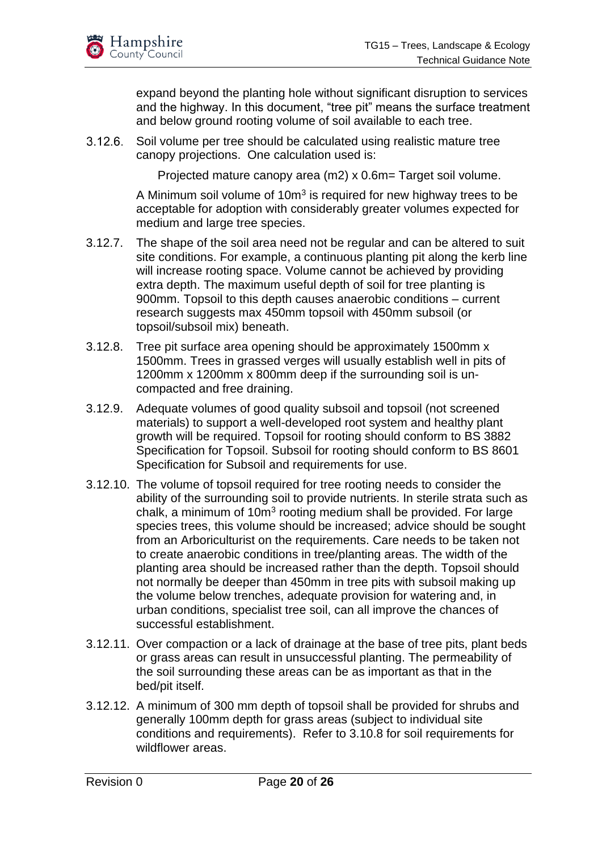expand beyond the planting hole without significant disruption to services and the highway. In this document, "tree pit" means the surface treatment and below ground rooting volume of soil available to each tree.

 $3.12.6.$ Soil volume per tree should be calculated using realistic mature tree canopy projections. One calculation used is:

Projected mature canopy area (m2) x 0.6m = Target soil volume.

A Minimum soil volume of 10 $m<sup>3</sup>$  is required for new highway trees to be acceptable for adoption with considerably greater volumes expected for medium and large tree species.

- 3.12.7. The shape of the soil area need not be regular and can be altered to suit site conditions. For example, a continuous planting pit along the kerb line will increase rooting space. Volume cannot be achieved by providing extra depth. The maximum useful depth of soil for tree planting is 900mm. Topsoil to this depth causes anaerobic conditions – current research suggests max 450mm topsoil with 450mm subsoil (or topsoil/subsoil mix) beneath.
- 3.12.8. Tree pit surface area opening should be approximately 1500mm x 1500mm. Trees in grassed verges will usually establish well in pits of 1200mm x 1200mm x 800mm deep if the surrounding soil is uncompacted and free draining.
- 3.12.9. Adequate volumes of good quality subsoil and topsoil (not screened materials) to support a well-developed root system and healthy plant growth will be required. Topsoil for rooting should conform to BS 3882 Specification for Topsoil. Subsoil for rooting should conform to BS 8601 Specification for Subsoil and requirements for use.
- 3.12.10. The volume of topsoil required for tree rooting needs to consider the ability of the surrounding soil to provide nutrients. In sterile strata such as chalk, a minimum of 10 $m<sup>3</sup>$  rooting medium shall be provided. For large species trees, this volume should be increased; advice should be sought from an Arboriculturist on the requirements. Care needs to be taken not to create anaerobic conditions in tree/planting areas. The width of the planting area should be increased rather than the depth. Topsoil should not normally be deeper than 450mm in tree pits with subsoil making up the volume below trenches, adequate provision for watering and, in urban conditions, specialist tree soil, can all improve the chances of successful establishment.
- 3.12.11. Over compaction or a lack of drainage at the base of tree pits, plant beds or grass areas can result in unsuccessful planting. The permeability of the soil surrounding these areas can be as important as that in the bed/pit itself.
- 3.12.12. A minimum of 300 mm depth of topsoil shall be provided for shrubs and generally 100mm depth for grass areas (subject to individual site conditions and requirements). Refer to 3.10.8 for soil requirements for wildflower areas.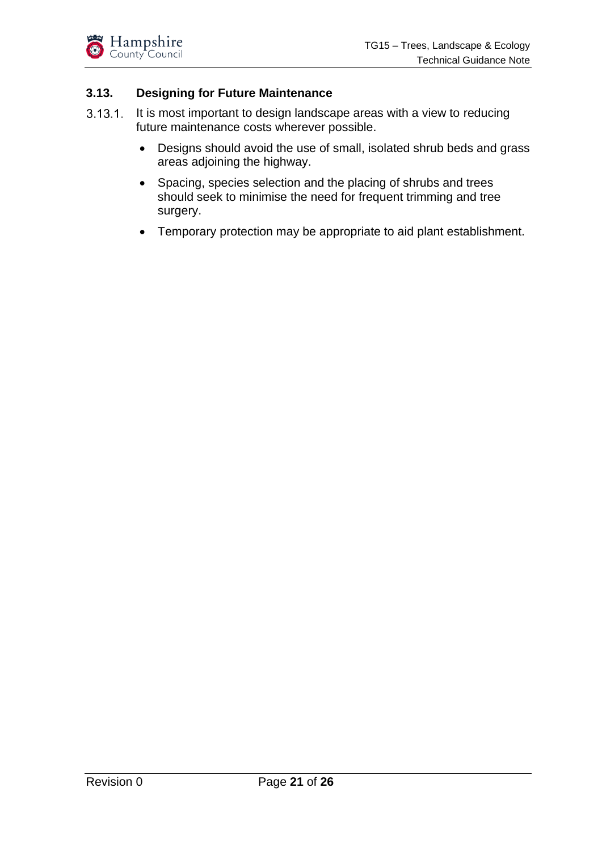

#### <span id="page-20-0"></span>**3.13. Designing for Future Maintenance**

- $3.13.1$ It is most important to design landscape areas with a view to reducing future maintenance costs wherever possible.
	- Designs should avoid the use of small, isolated shrub beds and grass areas adjoining the highway.
	- Spacing, species selection and the placing of shrubs and trees should seek to minimise the need for frequent trimming and tree surgery.
	- Temporary protection may be appropriate to aid plant establishment.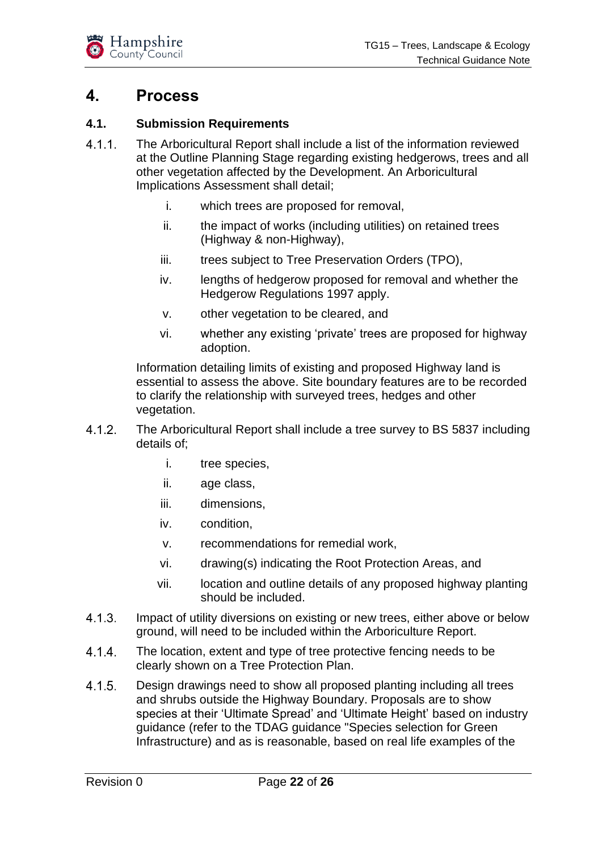

### <span id="page-21-0"></span>**4. Process**

#### <span id="page-21-1"></span>**4.1. Submission Requirements**

- $4.1.1.$ The Arboricultural Report shall include a list of the information reviewed at the Outline Planning Stage regarding existing hedgerows, trees and all other vegetation affected by the Development. An Arboricultural Implications Assessment shall detail;
	- i. which trees are proposed for removal,
	- ii. the impact of works (including utilities) on retained trees (Highway & non-Highway),
	- iii. trees subject to Tree Preservation Orders (TPO),
	- iv. lengths of hedgerow proposed for removal and whether the Hedgerow Regulations 1997 apply.
	- v. other vegetation to be cleared, and
	- vi. whether any existing 'private' trees are proposed for highway adoption.

Information detailing limits of existing and proposed Highway land is essential to assess the above. Site boundary features are to be recorded to clarify the relationship with surveyed trees, hedges and other vegetation.

- $4.1.2.$ The Arboricultural Report shall include a tree survey to BS 5837 including details of;
	- i. tree species,
	- ii. age class,
	- iii. dimensions,
	- iv. condition,
	- v. recommendations for remedial work,
	- vi. drawing(s) indicating the Root Protection Areas, and
	- vii. location and outline details of any proposed highway planting should be included.
- $4.1.3.$ Impact of utility diversions on existing or new trees, either above or below ground, will need to be included within the Arboriculture Report.
- $4.1.4.$ The location, extent and type of tree protective fencing needs to be clearly shown on a Tree Protection Plan.
- $4.1.5.$ Design drawings need to show all proposed planting including all trees and shrubs outside the Highway Boundary. Proposals are to show species at their 'Ultimate Spread' and 'Ultimate Height' based on industry guidance (refer to the TDAG guidance "Species selection for Green Infrastructure) and as is reasonable, based on real life examples of the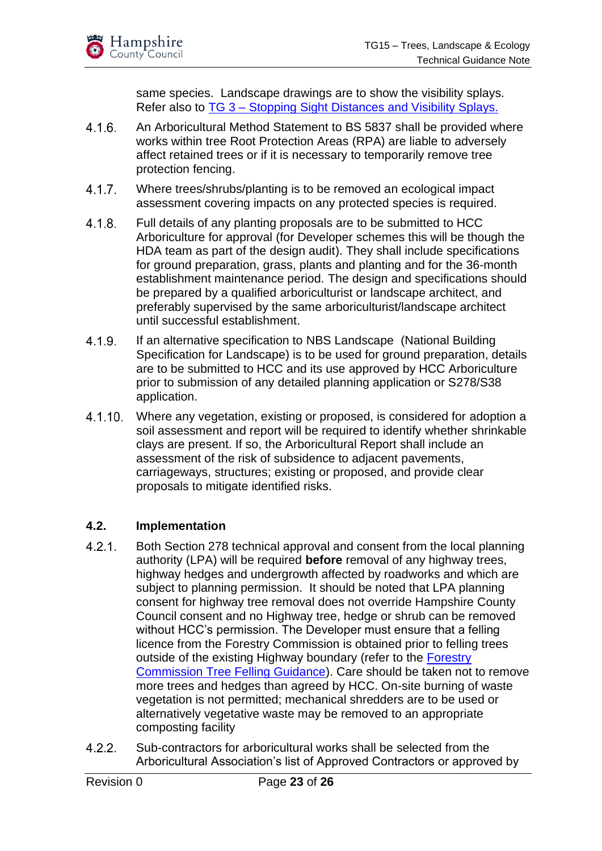same species. Landscape drawings are to show the visibility splays. Refer also to TG 3 – [Stopping Sight Distances and Visibility Splays.](https://documents.hants.gov.uk/highways/TG3TechnicalGuidanceNote-StoppingSightDistancesandVisibilitySplays.pdf)

- $4.1.6.$ An Arboricultural Method Statement to BS 5837 shall be provided where works within tree Root Protection Areas (RPA) are liable to adversely affect retained trees or if it is necessary to temporarily remove tree protection fencing.
- $4.1.7.$ Where trees/shrubs/planting is to be removed an ecological impact assessment covering impacts on any protected species is required.
- $4.1.8.$ Full details of any planting proposals are to be submitted to HCC Arboriculture for approval (for Developer schemes this will be though the HDA team as part of the design audit). They shall include specifications for ground preparation, grass, plants and planting and for the 36-month establishment maintenance period. The design and specifications should be prepared by a qualified arboriculturist or landscape architect, and preferably supervised by the same arboriculturist/landscape architect until successful establishment.
- $4.1.9.$ If an alternative specification to NBS Landscape (National Building Specification for Landscape) is to be used for ground preparation, details are to be submitted to HCC and its use approved by HCC Arboriculture prior to submission of any detailed planning application or S278/S38 application.
- $4.1.10$ . Where any vegetation, existing or proposed, is considered for adoption a soil assessment and report will be required to identify whether shrinkable clays are present. If so, the Arboricultural Report shall include an assessment of the risk of subsidence to adjacent pavements, carriageways, structures; existing or proposed, and provide clear proposals to mitigate identified risks.

#### <span id="page-22-0"></span>**4.2. Implementation**

- $4.2.1.$ Both Section 278 technical approval and consent from the local planning authority (LPA) will be required **before** removal of any highway trees, highway hedges and undergrowth affected by roadworks and which are subject to planning permission. It should be noted that LPA planning consent for highway tree removal does not override Hampshire County Council consent and no Highway tree, hedge or shrub can be removed without HCC's permission. The Developer must ensure that a felling licence from the Forestry Commission is obtained prior to felling trees outside of the existing Highway boundary (refer to the [Forestry](https://assets.publishing.service.gov.uk/government/uploads/system/uploads/attachment_data/file/876642/Tree_Felling_-_Getting_Permission_-_web_version.pdf)  [Commission Tree Felling Guidance\)](https://assets.publishing.service.gov.uk/government/uploads/system/uploads/attachment_data/file/876642/Tree_Felling_-_Getting_Permission_-_web_version.pdf). Care should be taken not to remove more trees and hedges than agreed by HCC. On-site burning of waste vegetation is not permitted; mechanical shredders are to be used or alternatively vegetative waste may be removed to an appropriate composting facility
- Sub-contractors for arboricultural works shall be selected from the  $4.2.2.$ Arboricultural Association's list of Approved Contractors or approved by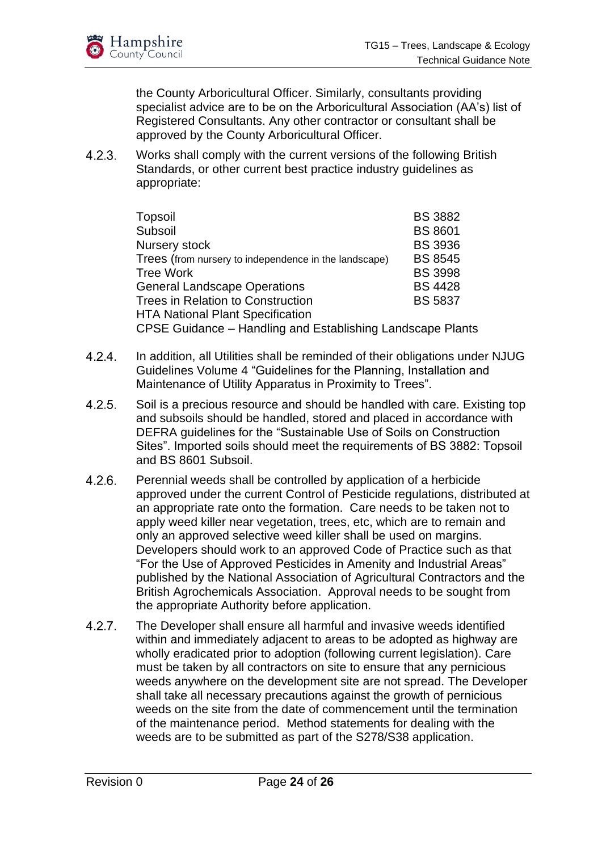the County Arboricultural Officer. Similarly, consultants providing specialist advice are to be on the Arboricultural Association (AA's) list of Registered Consultants. Any other contractor or consultant shall be approved by the County Arboricultural Officer.

 $4.2.3.$ Works shall comply with the current versions of the following British Standards, or other current best practice industry guidelines as appropriate:

| Topsoil                                                    | <b>BS 3882</b> |  |
|------------------------------------------------------------|----------------|--|
| Subsoil                                                    | <b>BS 8601</b> |  |
| Nursery stock                                              | <b>BS 3936</b> |  |
| Trees (from nursery to independence in the landscape)      | <b>BS 8545</b> |  |
| <b>Tree Work</b>                                           | <b>BS 3998</b> |  |
| <b>General Landscape Operations</b>                        | <b>BS 4428</b> |  |
| <b>Trees in Relation to Construction</b>                   | <b>BS 5837</b> |  |
| <b>HTA National Plant Specification</b>                    |                |  |
| CPSE Guidance - Handling and Establishing Landscape Plants |                |  |

- In addition, all Utilities shall be reminded of their obligations under NJUG  $4.2.4.$ Guidelines Volume 4 "Guidelines for the Planning, Installation and Maintenance of Utility Apparatus in Proximity to Trees".
- $4.2.5.$ Soil is a precious resource and should be handled with care. Existing top and subsoils should be handled, stored and placed in accordance with DEFRA guidelines for the "Sustainable Use of Soils on Construction Sites". Imported soils should meet the requirements of BS 3882: Topsoil and BS 8601 Subsoil.
- $4.2.6.$ Perennial weeds shall be controlled by application of a herbicide approved under the current Control of Pesticide regulations, distributed at an appropriate rate onto the formation. Care needs to be taken not to apply weed killer near vegetation, trees, etc, which are to remain and only an approved selective weed killer shall be used on margins. Developers should work to an approved Code of Practice such as that "For the Use of Approved Pesticides in Amenity and Industrial Areas" published by the National Association of Agricultural Contractors and the British Agrochemicals Association. Approval needs to be sought from the appropriate Authority before application.
- $4.2.7.$ The Developer shall ensure all harmful and invasive weeds identified within and immediately adjacent to areas to be adopted as highway are wholly eradicated prior to adoption (following current legislation). Care must be taken by all contractors on site to ensure that any pernicious weeds anywhere on the development site are not spread. The Developer shall take all necessary precautions against the growth of pernicious weeds on the site from the date of commencement until the termination of the maintenance period. Method statements for dealing with the weeds are to be submitted as part of the S278/S38 application.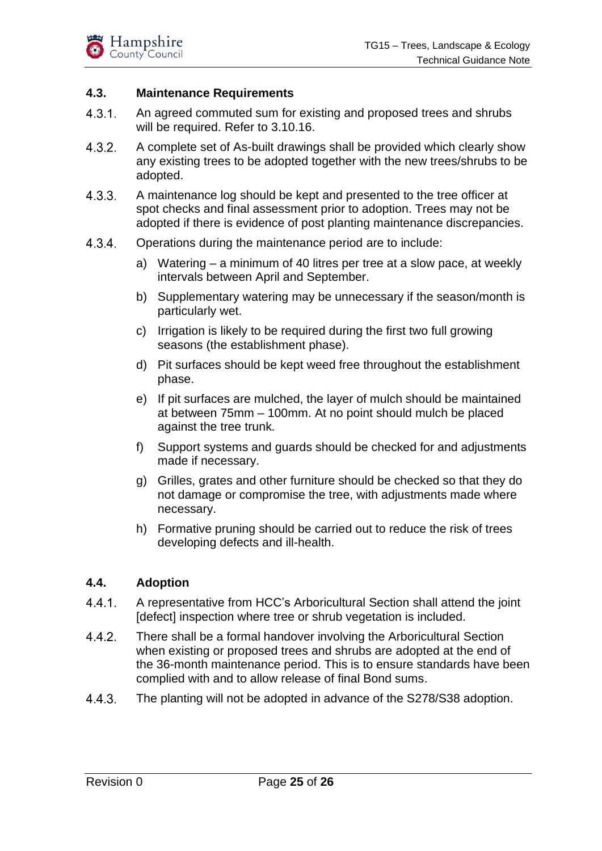#### <span id="page-24-0"></span>**4.3. Maintenance Requirements**

- $4.3.1.$ An agreed commuted sum for existing and proposed trees and shrubs will be required. Refer to 3.10.16.
- $4.3.2.$ A complete set of As-built drawings shall be provided which clearly show any existing trees to be adopted together with the new trees/shrubs to be adopted.
- A maintenance log should be kept and presented to the tree officer at  $4.3.3.$ spot checks and final assessment prior to adoption. Trees may not be adopted if there is evidence of post planting maintenance discrepancies.
- $4.3.4.$ Operations during the maintenance period are to include:
	- a) Watering a minimum of 40 litres per tree at a slow pace, at weekly intervals between April and September.
	- b) Supplementary watering may be unnecessary if the season/month is particularly wet.
	- c) Irrigation is likely to be required during the first two full growing seasons (the establishment phase).
	- d) Pit surfaces should be kept weed free throughout the establishment phase.
	- e) If pit surfaces are mulched, the layer of mulch should be maintained at between 75mm – 100mm. At no point should mulch be placed against the tree trunk.
	- f) Support systems and guards should be checked for and adjustments made if necessary.
	- g) Grilles, grates and other furniture should be checked so that they do not damage or compromise the tree, with adjustments made where necessary.
	- h) Formative pruning should be carried out to reduce the risk of trees developing defects and ill-health.

#### <span id="page-24-1"></span>**4.4. Adoption**

- $4.4.1.$ A representative from HCC's Arboricultural Section shall attend the joint [defect] inspection where tree or shrub vegetation is included.
- $4.4.2.$ There shall be a formal handover involving the Arboricultural Section when existing or proposed trees and shrubs are adopted at the end of the 36-month maintenance period. This is to ensure standards have been complied with and to allow release of final Bond sums.
- $4.4.3.$ The planting will not be adopted in advance of the S278/S38 adoption.